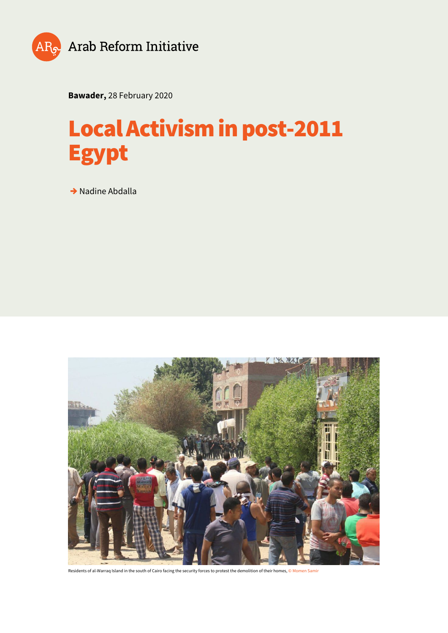

**Bawader,** 28 February 2020

# **Local Activism in post-2011 Egypt**

**→** Nadine Abdalla



Residents of al-Warraq Island in the south of Cairo facing the security forces to protest the demolition of their homes, © Momen Samir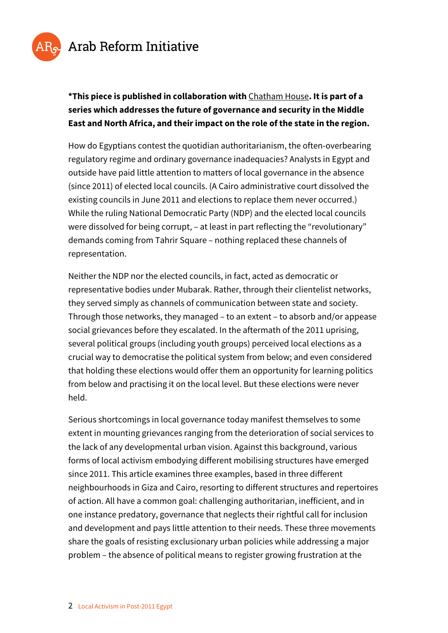

#### **\*This piece is published in collaboration with** [Chatham House](https://www.chathamhouse.org/research/regions/middle-east-and-north-africa)**. It is part of a series which addresses the future of governance and security in the Middle East and North Africa, and their impact on the role of the state in the region.**

How do Egyptians contest the quotidian authoritarianism, the often-overbearing regulatory regime and ordinary governance inadequacies? Analysts in Egypt and outside have paid little attention to matters of local governance in the absence (since 2011) of elected local councils. (A Cairo administrative court dissolved the existing councils in June 2011 and elections to replace them never occurred.) While the ruling National Democratic Party (NDP) and the elected local councils were dissolved for being corrupt, – at least in part reflecting the "revolutionary" demands coming from Tahrir Square – nothing replaced these channels of representation.

Neither the NDP nor the elected councils, in fact, acted as democratic or representative bodies under Mubarak. Rather, through their clientelist networks, they served simply as channels of communication between state and society. Through those networks, they managed – to an extent – to absorb and/or appease social grievances before they escalated. In the aftermath of the 2011 uprising, several political groups (including youth groups) perceived local elections as a crucial way to democratise the political system from below; and even considered that holding these elections would offer them an opportunity for learning politics from below and practising it on the local level. But these elections were never held.

Serious shortcomings in local governance today manifest themselves to some extent in mounting grievances ranging from the deterioration of social services to the lack of any developmental urban vision. Against this background, various forms of local activism embodying different mobilising structures have emerged since 2011. This article examines three examples, based in three different neighbourhoods in Giza and Cairo, resorting to different structures and repertoires of action. All have a common goal: challenging authoritarian, inefficient, and in one instance predatory, governance that neglects their rightful call for inclusion and development and pays little attention to their needs. These three movements share the goals of resisting exclusionary urban policies while addressing a major problem – the absence of political means to register growing frustration at the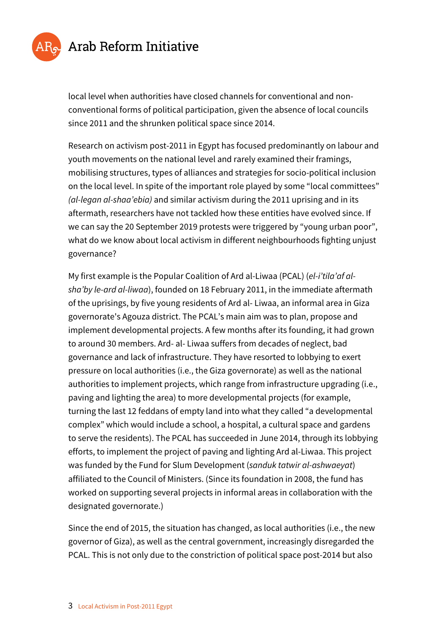

local level when authorities have closed channels for conventional and nonconventional forms of political participation, given the absence of local councils since 2011 and the shrunken political space since 2014.

Research on activism post-2011 in Egypt has focused predominantly on labour and youth movements on the national level and rarely examined their framings, mobilising structures, types of alliances and strategies for socio-political inclusion on the local level. In spite of the important role played by some "local committees" *(al-legan al-shaa'ebia)* and similar activism during the 2011 uprising and in its aftermath, researchers have not tackled how these entities have evolved since. If we can say the 20 September 2019 protests were triggered by "young urban poor", what do we know about local activism in different neighbourhoods fighting unjust governance?

My first example is the Popular Coalition of Ard al-Liwaa (PCAL) (*el-i'tila'af alsha'by le-ard al-liwaa*), founded on 18 February 2011, in the immediate aftermath of the uprisings, by five young residents of Ard al- Liwaa, an informal area in Giza governorate's Agouza district. The PCAL's main aim was to plan, propose and implement developmental projects. A few months after its founding, it had grown to around 30 members. Ard- al- Liwaa suffers from decades of neglect, bad governance and lack of infrastructure. They have resorted to lobbying to exert pressure on local authorities (i.e., the Giza governorate) as well as the national authorities to implement projects, which range from infrastructure upgrading (i.e., paving and lighting the area) to more developmental projects (for example, turning the last 12 feddans of empty land into what they called "a developmental complex" which would include a school, a hospital, a cultural space and gardens to serve the residents). The PCAL has succeeded in June 2014, through its lobbying efforts, to implement the project of paving and lighting Ard al-Liwaa. This project was funded by the Fund for Slum Development (*sanduk tatwir al-ashwaeyat*) affiliated to the Council of Ministers. (Since its foundation in 2008, the fund has worked on supporting several projects in informal areas in collaboration with the designated governorate.)

Since the end of 2015, the situation has changed, as local authorities (i.e., the new governor of Giza), as well as the central government, increasingly disregarded the PCAL. This is not only due to the constriction of political space post-2014 but also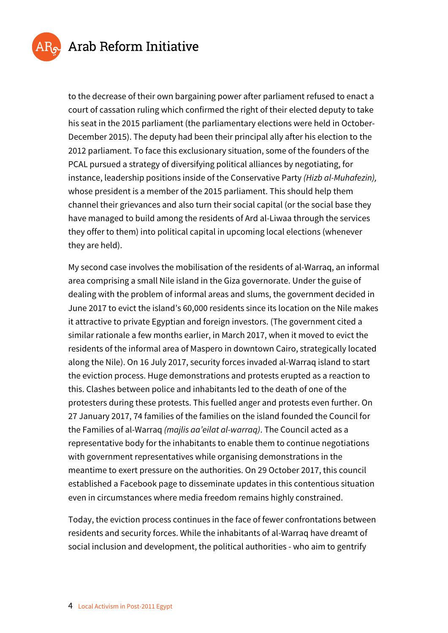

to the decrease of their own bargaining power after parliament refused to enact a court of cassation ruling which confirmed the right of their elected deputy to take his seat in the 2015 parliament (the parliamentary elections were held in October-December 2015). The deputy had been their principal ally after his election to the 2012 parliament. To face this exclusionary situation, some of the founders of the PCAL pursued a strategy of diversifying political alliances by negotiating, for instance, leadership positions inside of the Conservative Party *(Hizb al-Muhafezin),* whose president is a member of the 2015 parliament. This should help them channel their grievances and also turn their social capital (or the social base they have managed to build among the residents of Ard al-Liwaa through the services they offer to them) into political capital in upcoming local elections (whenever they are held).

My second case involves the mobilisation of the residents of al-Warraq, an informal area comprising a small Nile island in the Giza governorate. Under the guise of dealing with the problem of informal areas and slums, the government decided in June 2017 to evict the island's 60,000 residents since its location on the Nile makes it attractive to private Egyptian and foreign investors. (The government cited a similar rationale a few months earlier, in March 2017, when it moved to evict the residents of the informal area of Maspero in downtown Cairo, strategically located along the Nile). On 16 July 2017, security forces invaded al-Warraq island to start the eviction process. Huge demonstrations and protests erupted as a reaction to this. Clashes between police and inhabitants led to the death of one of the protesters during these protests. This fuelled anger and protests even further. On 27 January 2017, 74 families of the families on the island founded the Council for the Families of al-Warraq *(majlis aa'eilat al-warraq)*. The Council acted as a representative body for the inhabitants to enable them to continue negotiations with government representatives while organising demonstrations in the meantime to exert pressure on the authorities. On 29 October 2017, this council established a Facebook page to disseminate updates in this contentious situation even in circumstances where media freedom remains highly constrained.

Today, the eviction process continues in the face of fewer confrontations between residents and security forces. While the inhabitants of al-Warraq have dreamt of social inclusion and development, the political authorities - who aim to gentrify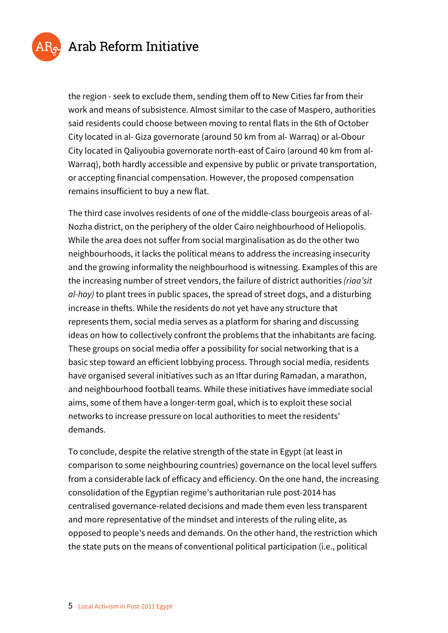

the region - seek to exclude them, sending them off to New Cities far from their work and means of subsistence. Almost similar to the case of Maspero, authorities said residents could choose between moving to rental flats in the 6th of October City located in al- Giza governorate (around 50 km from al- Warraq) or al-Obour City located in Qaliyoubia governorate north-east of Cairo (around 40 km from al-Warraq), both hardly accessible and expensive by public or private transportation, or accepting financial compensation. However, the proposed compensation remains insufficient to buy a new flat.

The third case involves residents of one of the middle-class bourgeois areas of al-Nozha district, on the periphery of the older Cairo neighbourhood of Heliopolis. While the area does not suffer from social marginalisation as do the other two neighbourhoods, it lacks the political means to address the increasing insecurity and the growing informality the neighbourhood is witnessing. Examples of this are the increasing number of street vendors, the failure of district authorities *(riaa'sit al-hay)* to plant trees in public spaces, the spread of street dogs, and a disturbing increase in thefts. While the residents do not yet have any structure that represents them, social media serves as a platform for sharing and discussing ideas on how to collectively confront the problems that the inhabitants are facing. These groups on social media offer a possibility for social networking that is a basic step toward an efficient lobbying process. Through social media, residents have organised several initiatives such as an Iftar during Ramadan, a marathon, and neighbourhood football teams. While these initiatives have immediate social aims, some of them have a longer-term goal, which is to exploit these social networks to increase pressure on local authorities to meet the residents' demands.

To conclude, despite the relative strength of the state in Egypt (at least in comparison to some neighbouring countries) governance on the local level suffers from a considerable lack of efficacy and efficiency. On the one hand, the increasing consolidation of the Egyptian regime's authoritarian rule post-2014 has centralised governance-related decisions and made them even less transparent and more representative of the mindset and interests of the ruling elite, as opposed to people's needs and demands. On the other hand, the restriction which the state puts on the means of conventional political participation (i.e., political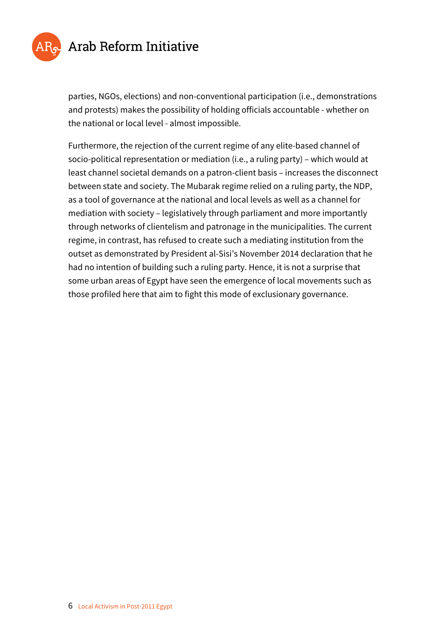

parties, NGOs, elections) and non-conventional participation (i.e., demonstrations and protests) makes the possibility of holding officials accountable - whether on the national or local level - almost impossible.

Furthermore, the rejection of the current regime of any elite-based channel of socio-political representation or mediation (i.e., a ruling party) – which would at least channel societal demands on a patron-client basis – increases the disconnect between state and society. The Mubarak regime relied on a ruling party, the NDP, as a tool of governance at the national and local levels as well as a channel for mediation with society – legislatively through parliament and more importantly through networks of clientelism and patronage in the municipalities. The current regime, in contrast, has refused to create such a mediating institution from the outset as demonstrated by President al-Sisi's November 2014 declaration that he had no intention of building such a ruling party. Hence, it is not a surprise that some urban areas of Egypt have seen the emergence of local movements such as those profiled here that aim to fight this mode of exclusionary governance.